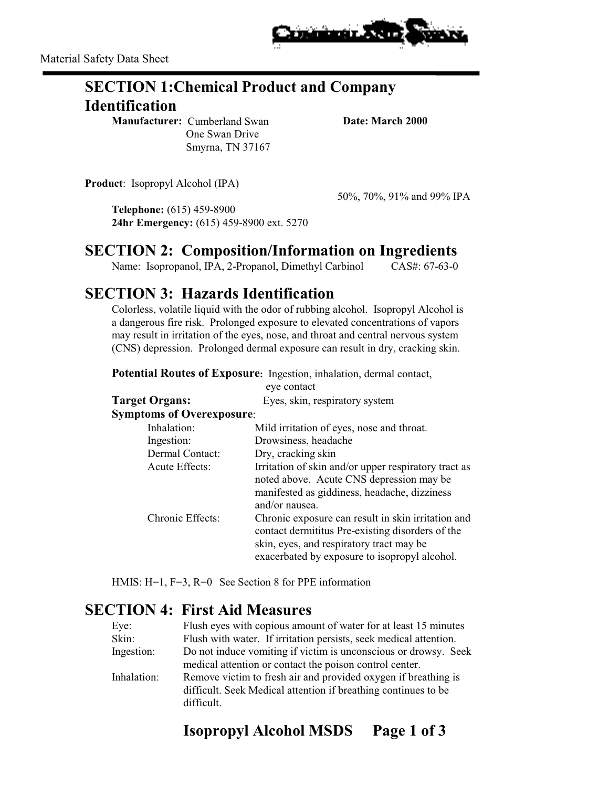

# **SECTION 1:Chemical Product and Company Identification**

**Manufacturer:** Cumberland Swan **Date: March 2000**  One Swan Drive Smyrna, TN 37167

**Product**: Isopropyl Alcohol (IPA)

50%, 70%, 91% and 99% IPA

**Telephone:** (615) 459-8900 **24hr Emergency:** (615) 459-8900 ext. 5270

#### **SECTION 2: Composition/Information on Ingredients**

Name: Isopropanol, IPA, 2-Propanol, Dimethyl Carbinol CAS#: 67-63-0

#### **SECTION 3: Hazards Identification**

Colorless, volatile liquid with the odor of rubbing alcohol. Isopropyl Alcohol is a dangerous fire risk. Prolonged exposure to elevated concentrations of vapors may result in irritation of the eyes, nose, and throat and central nervous system (CNS) depression. Prolonged dermal exposure can result in dry, cracking skin.

**Potential Routes of Exposure:** Ingestion, inhalation, dermal contact,

|                                  | eye contact                                                                                                                                                                                         |
|----------------------------------|-----------------------------------------------------------------------------------------------------------------------------------------------------------------------------------------------------|
| <b>Target Organs:</b>            | Eyes, skin, respiratory system                                                                                                                                                                      |
| <b>Symptoms of Overexposure:</b> |                                                                                                                                                                                                     |
| Inhalation:                      | Mild irritation of eyes, nose and throat.                                                                                                                                                           |
| Ingestion:                       | Drowsiness, headache                                                                                                                                                                                |
| Dermal Contact:                  | Dry, cracking skin                                                                                                                                                                                  |
| Acute Effects:                   | Irritation of skin and/or upper respiratory tract as<br>noted above. Acute CNS depression may be<br>manifested as giddiness, headache, dizziness<br>and/or nausea.                                  |
| Chronic Effects:                 | Chronic exposure can result in skin irritation and<br>contact dermititus Pre-existing disorders of the<br>skin, eyes, and respiratory tract may be<br>exacerbated by exposure to isopropyl alcohol. |

HMIS: H=1, F=3, R=0 See Section 8 for PPE information

#### **SECTION 4: First Aid Measures**

| Flush eyes with copious amount of water for at least 15 minutes   |
|-------------------------------------------------------------------|
| Flush with water. If irritation persists, seek medical attention. |
| Do not induce vomiting if victim is unconscious or drowsy. Seek   |
| medical attention or contact the poison control center.           |
| Remove victim to fresh air and provided oxygen if breathing is    |
| difficult. Seek Medical attention if breathing continues to be    |
|                                                                   |
|                                                                   |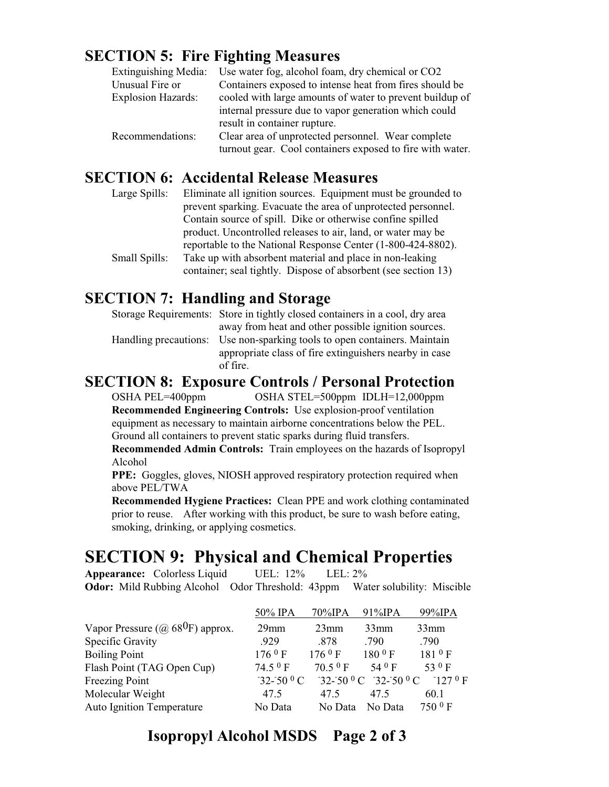## **SECTION 5: Fire Fighting Measures**

| Extinguishing Media:      | Use water fog, alcohol foam, dry chemical or CO2          |
|---------------------------|-----------------------------------------------------------|
| Unusual Fire or           | Containers exposed to intense heat from fires should be   |
| <b>Explosion Hazards:</b> | cooled with large amounts of water to prevent buildup of  |
|                           | internal pressure due to vapor generation which could     |
|                           | result in container rupture.                              |
| Recommendations:          | Clear area of unprotected personnel. Wear complete        |
|                           | turnout gear. Cool containers exposed to fire with water. |

#### **SECTION 6: Accidental Release Measures**

| Large Spills: | Eliminate all ignition sources. Equipment must be grounded to  |
|---------------|----------------------------------------------------------------|
|               | prevent sparking. Evacuate the area of unprotected personnel.  |
|               | Contain source of spill. Dike or otherwise confine spilled     |
|               | product. Uncontrolled releases to air, land, or water may be   |
|               | reportable to the National Response Center (1-800-424-8802).   |
| Small Spills: | Take up with absorbent material and place in non-leaking       |
|               | container; seal tightly. Dispose of absorbent (see section 13) |

#### **SECTION 7: Handling and Storage**

| Storage Requirements: Store in tightly closed containers in a cool, dry area |
|------------------------------------------------------------------------------|
| away from heat and other possible ignition sources.                          |
| Handling precautions: Use non-sparking tools to open containers. Maintain    |
| appropriate class of fire extinguishers nearby in case                       |
| of fire.                                                                     |

#### **SECTION 8: Exposure Controls / Personal Protection**

OSHA PEL=400ppm OSHA STEL=500ppm IDLH=12,000ppm **Recommended Engineering Controls:** Use explosion-proof ventilation equipment as necessary to maintain airborne concentrations below the PEL. Ground all containers to prevent static sparks during fluid transfers.

**Recommended Admin Controls:** Train employees on the hazards of Isopropyl Alcohol

**PPE:** Goggles, gloves, NIOSH approved respiratory protection required when above PEL/TWA

**Recommended Hygiene Practices:** Clean PPE and work clothing contaminated prior to reuse. After working with this product, be sure to wash before eating, smoking, drinking, or applying cosmetics.

# **SECTION 9: Physical and Chemical Properties**<br>Appearance: Colorless Liquid UEL: 12% LEL: 2%

**Appearance:** Colorless Liquid UEL: 12% LEL: 2% **Odor:** Mild Rubbing Alcohol Odor Threshold: 43ppm Water solubility: Miscible

|                                                      | 50% IPA                   | 70%IPA    | $91\%$ IPA                                          | 99%IPA      |
|------------------------------------------------------|---------------------------|-----------|-----------------------------------------------------|-------------|
| Vapor Pressure ( $\omega$ 68 <sup>0</sup> F) approx. | $29$ mm                   | $23$ mm   | $33$ mm                                             | $33$ mm     |
| Specific Gravity                                     | .929                      | .878      | .790                                                | .790        |
| <b>Boiling Point</b>                                 | 1760 F                    | 1769 F    | $1800$ F                                            | $181^{0} F$ |
| Flash Point (TAG Open Cup)                           | $74.50$ F                 | $70.50$ F | 54 $0$ F                                            | 53 $0F$     |
| Freezing Point                                       | $-32 - 50$ <sup>0</sup> C |           | $-32 - 50$ <sup>0</sup> C $-32 - 50$ <sup>0</sup> C | 1270F       |
| Molecular Weight                                     | 47.5                      | 47.5      | 47.5                                                | 60.1        |
| <b>Auto Ignition Temperature</b>                     | No Data                   | No Data   | No Data                                             | $7500$ F    |

# **Isopropyl Alcohol MSDS Page 2 of 3**